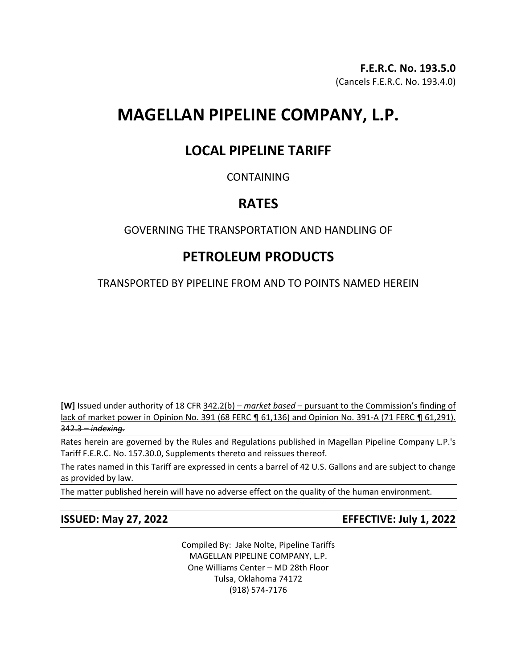# **MAGELLAN PIPELINE COMPANY, L.P.**

## **LOCAL PIPELINE TARIFF**

## CONTAINING

## **RATES**

## GOVERNING THE TRANSPORTATION AND HANDLING OF

# **PETROLEUM PRODUCTS**

TRANSPORTED BY PIPELINE FROM AND TO POINTS NAMED HEREIN

**[W]** Issued under authority of 18 CFR 342.2(b) – *market based* – pursuant to the Commission's finding of lack of market power in Opinion No. 391 (68 FERC ¶ 61,136) and Opinion No. 391-A (71 FERC ¶ 61,291). 342.3 – *indexing.*

Rates herein are governed by the Rules and Regulations published in Magellan Pipeline Company L.P.'s Tariff F.E.R.C. No. 157.30.0, Supplements thereto and reissues thereof.

The rates named in this Tariff are expressed in cents a barrel of 42 U.S. Gallons and are subject to change as provided by law.

The matter published herein will have no adverse effect on the quality of the human environment.

**ISSUED: May 27, 2022 EFFECTIVE: July 1, 2022**

Compiled By: Jake Nolte, Pipeline Tariffs MAGELLAN PIPELINE COMPANY, L.P. One Williams Center – MD 28th Floor Tulsa, Oklahoma 74172 (918) 574-7176